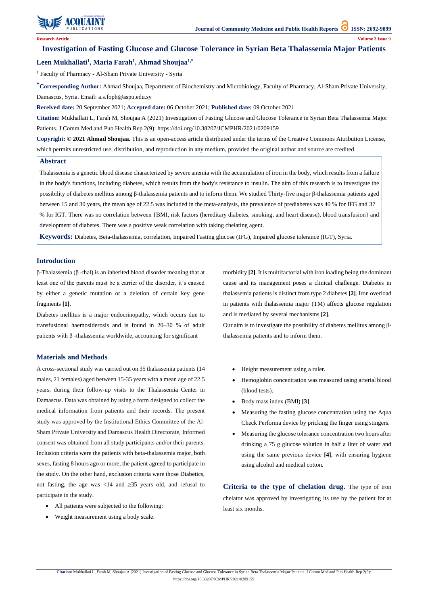

**Citation:** Mukhallati L, Farah M, Shoujaa A (2021) Investigation of Fasting Glucose and Glucose Tolerance in Syrian Beta Thalassemia Major Patients. J Comm Med and Pub Health Rep 2(9):

https://doi.org/10.38207/JCMPHR/2021/0209159

# **Investigation of Fasting Glucose and Glucose Tolerance in Syrian Beta Thalassemia Major Patients Leen Mukhallati<sup>1</sup> , Maria Farah<sup>1</sup> , Ahmad Shoujaa1,\***

<sup>1</sup> Faculty of Pharmacy - Al-Sham Private University - Syria

**\*Corresponding Author:** Ahmad Shoujaa, Department of Biochemistry and Microbiology, Faculty of Pharmacy, Al-Sham Private University, Damascus, Syria. Email: [a.s.foph@aspu.edu.sy](mailto:a.s.foph@aspu.edu.sy)

**Received date:** 20 September 2021; **Accepted date:** 06 October 2021; **Published date:** 09 October 2021

**Citation:** Mukhallati L, Farah M, Shoujaa A (2021) Investigation of Fasting Glucose and Glucose Tolerance in Syrian Beta Thalassemia Major Patients. J Comm Med and Pub Health Rep 2(9): https://doi.org/10.38207/JCMPHR/2021/0209159

> Our aim is to investigate the possibility of diabetes mellitus among βthalassemia patients and to inform them.

**Copyright: © 2021 Ahmad Shoujaa.** This is an open-access article distributed under the terms of the Creative Commons Attribution License, which permits unrestricted use, distribution, and reproduction in any medium, provided the original author and source are credited.

### **Introduction**

β-Thalassemia (β -thal) is an inherited blood disorder meaning that at least one of the parents must be a carrier of the disorder, it's caused by either a genetic mutation or a deletion of certain key gene fragments **[1]**.

Diabetes mellitus is a major endocrinopathy, which occurs due to transfusional haemosiderosis and is found in 20–30 % of adult patients with β -thalassemia worldwide, accounting for significant

morbidity **[2]**. It is multifactorial with iron loading being the dominant cause and its management poses a clinical challenge. Diabetes in thalassemia patients is distinct from type 2 diabetes **[2]**. Iron overload in patients with thalassemia major (TM) affects glucose regulation and is mediated by several mechanisms **[2]**.

### **Materials and Methods**

A cross-sectional study was carried out on 35 thalassemia patients (14 males, 21 females) aged between 15-35 years with a mean age of 22.5 years, during their follow-up visits to the Thalassemia Center in Damascus. Data was obtained by using a form designed to collect the medical information from patients and their records. The present study was approved by the Institutional Ethics Committee of the Al-Sham Private University and Damascus Health Directorate, Informed consent was obtained from all study participants and/or their parents. Inclusion criteria were the patients with beta-thalassemia major, both

sexes, fasting 8 hours ago or more, the patient agreed to participate in the study. On the other hand, exclusion criteria were those Diabetics, not fasting, the age was  $\langle 14 \rangle$  and  $\langle 235 \rangle$  years old, and refusal to participate in the study.

- All patients were subjected to the following:
- Weight measurement using a body scale.
- Height measurement using a ruler.
- Hemoglobin concentration was measured using arterial blood (blood tests).
- Body mass index (BMI) **[3]**
- Measuring the fasting glucose concentration using the Aqua Check Performa device by pricking the finger using stingers.
- Measuring the glucose tolerance concentration two hours after drinking a 75 g glucose solution in half a liter of water and using the same previous device **[4]**, with ensuring hygiene

using alcohol and medical cotton.

**Criteria to the type of chelation drug.** The type of iron chelator was approved by investigating its use by the patient for at least six months.

#### **Abstract**

Thalassemia is a genetic blood disease characterized by severe anemia with the accumulation of iron in the body, which results from a failure in the body's functions, including diabetes, which results from the body's resistance to insulin. The aim of this research is to investigate the possibility of diabetes mellitus among β-thalassemia patients and to inform them. We studied Thirty-five major β-thalassemia patients aged between 15 and 30 years, the mean age of 22.5 was included in the meta-analysis, the prevalence of prediabetes was 40 % for IFG and 37 % for IGT. There was no correlation between {BMI, risk factors (hereditary diabetes, smoking, and heart disease), blood transfusion} and development of diabetes. There was a positive weak correlation with taking chelating agent.

**Keywords:** Diabetes, Beta-thalassemia, correlation, Impaired Fasting glucose (IFG), Impaired glucose tolerance (IGT), Syria.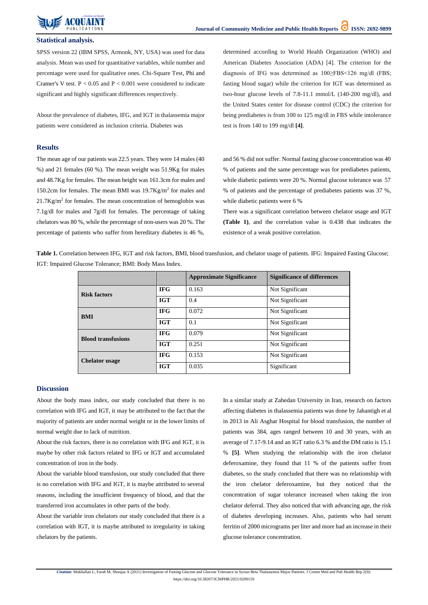

**Citation:** Mukhallati L, Farah M, Shoujaa A (2021) Investigation of Fasting Glucose and Glucose Tolerance in Syrian Beta Thalassemia Major Patients. J Comm Med and Pub Health Rep 2(9): https://doi.org/10.38207/JCMPHR/2021/0209159

## **Statistical analysis.**

SPSS version 22 (IBM SPSS, Armonk, NY, USA) was used for data analysis. Mean was used for quantitative variables, while number and percentage were used for qualitative ones. Chi-Square Test, Phi and Cramer's V test.  $P < 0.05$  and  $P < 0.001$  were considered to indicate significant and highly significant differences respectively.

About the prevalence of diabetes, IFG, and IGT in thalassemia major patients were considered as inclusion criteria. Diabetes was

determined according to World Health Organization (WHO) and American Diabetes Association (ADA) [4]. The criterion for the diagnosis of IFG was determined as 100≥FBS<126 mg/dl (FBS; fasting blood sugar) while the criterion for IGT was determined as two-hour glucose levels of 7.8-11.1 mmol/L (140-200 mg/dl), and the United States center for disease control (CDC) the criterion for being prediabetes is from 100 to 125 mg/dl in FBS while intolerance test is from 140 to 199 mg/dl **[4]**.

## **Results**

The mean age of our patients was 22.5 years. They were 14 males (40 %) and 21 females (60 %). The mean weight was 51.9Kg for males and 48.7Kg for females. The mean height was 161.3cm for males and 150.2cm for females. The mean BMI was 19.7Kg/m<sup>2</sup> for males and  $21.7$ Kg/m<sup>2</sup> for females. The mean concentration of hemoglobin was 7.1g/dl for males and 7g/dl for females. The percentage of taking chelators was 80 %, while the percentage of non-users was 20 %. The percentage of patients who suffer from hereditary diabetes is 46 %,

and 56 % did not suffer. Normal fasting glucose concentration was 40 % of patients and the same percentage was for prediabetes patients, while diabetic patients were 20 %. Normal glucose tolerance was 57 % of patients and the percentage of prediabetes patients was 37 %, while diabetic patients were 6 %

There was a significant correlation between chelator usage and IGT **(Table 1)**, and the correlation value is 0.438 that indicates the existence of a weak positive correlation.

**Table 1.** Correlation between IFG, IGT and risk factors, BMI, blood transfusion, and chelator usage of patients. IFG: Impaired Fasting Glucose; IGT: Impaired Glucose Tolerance; BMI: Body Mass Index.

|                           |            | <b>Approximate Significance</b> | <b>Significance of differences</b> |
|---------------------------|------------|---------------------------------|------------------------------------|
| <b>Risk factors</b>       | <b>IFG</b> | 0.163                           | Not Significant                    |
|                           | <b>IGT</b> | 0.4                             | Not Significant                    |
| <b>BMI</b>                | <b>IFG</b> | 0.072                           | Not Significant                    |
|                           | <b>IGT</b> | 0.1                             | Not Significant                    |
| <b>Blood transfusions</b> | <b>IFG</b> | 0.079                           | Not Significant                    |
|                           | <b>IGT</b> | 0.251                           | Not Significant                    |
| <b>Chelator usage</b>     | <b>IFG</b> | 0.153                           | Not Significant                    |
|                           | <b>IGT</b> | 0.035                           | Significant                        |

### **Discussion**

About the body mass index, our study concluded that there is no correlation with IFG and IGT, it may be attributed to the fact that the majority of patients are under normal weight or in the lower limits of normal weight due to lack of nutrition.

About the risk factors, there is no correlation with IFG and IGT, it is maybe by other risk factors related to IFG or IGT and accumulated

concentration of iron in the body.

About the variable blood transfusion, our study concluded that there is no correlation with IFG and IGT, it is maybe attributed to several reasons, including the insufficient frequency of blood, and that the transferred iron accumulates in other parts of the body.

About the variable iron chelators our study concluded that there is a correlation with IGT, it is maybe attributed to irregularity in taking chelators by the patients.

In a similar study at Zahedan University in Iran, research on factors affecting diabetes in thalassemia patients was done by Jahantigh et al in 2013 in Ali Asghar Hospital for blood transfusion, the number of patients was 384, ages ranged between 10 and 30 years, with an average of 7.17-9.14 and an IGT ratio 6.3 % and the DM ratio is 15.1 % **[5]**. When studying the relationship with the iron chelator

deferoxamine, they found that 11 % of the patients suffer from diabetes, so the study concluded that there was no relationship with the iron chelator deferoxamine, but they noticed that the concentration of sugar tolerance increased when taking the iron chelator deferral. They also noticed that with advancing age, the risk of diabetes developing increases. Also, patients who had serum ferritin of 2000 micrograms per liter and more had an increase in their glucose tolerance concentration.